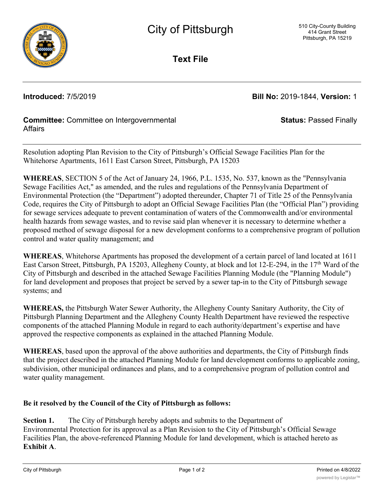

**Text File**

**Introduced:** 7/5/2019 **Bill No:** 2019-1844, **Version:** 1

**Status:** Passed Finally

## **Committee:** Committee on Intergovernmental **Affairs**

Resolution adopting Plan Revision to the City of Pittsburgh's Official Sewage Facilities Plan for the Whitehorse Apartments, 1611 East Carson Street, Pittsburgh, PA 15203

**WHEREAS**, SECTION 5 of the Act of January 24, 1966, P.L. 1535, No. 537, known as the "Pennsylvania Sewage Facilities Act," as amended, and the rules and regulations of the Pennsylvania Department of Environmental Protection (the "Department") adopted thereunder, Chapter 71 of Title 25 of the Pennsylvania Code, requires the City of Pittsburgh to adopt an Official Sewage Facilities Plan (the "Official Plan") providing for sewage services adequate to prevent contamination of waters of the Commonwealth and/or environmental health hazards from sewage wastes, and to revise said plan whenever it is necessary to determine whether a proposed method of sewage disposal for a new development conforms to a comprehensive program of pollution control and water quality management; and

**WHEREAS**, Whitehorse Apartments has proposed the development of a certain parcel of land located at 1611 East Carson Street, Pittsburgh, PA 15203, Allegheny County, at block and lot 12-E-294, in the 17<sup>th</sup> Ward of the City of Pittsburgh and described in the attached Sewage Facilities Planning Module (the "Planning Module") for land development and proposes that project be served by a sewer tap-in to the City of Pittsburgh sewage systems; and

**WHEREAS,** the Pittsburgh Water Sewer Authority, the Allegheny County Sanitary Authority, the City of Pittsburgh Planning Department and the Allegheny County Health Department have reviewed the respective components of the attached Planning Module in regard to each authority/department's expertise and have approved the respective components as explained in the attached Planning Module.

**WHEREAS**, based upon the approval of the above authorities and departments, the City of Pittsburgh finds that the project described in the attached Planning Module for land development conforms to applicable zoning, subdivision, other municipal ordinances and plans, and to a comprehensive program of pollution control and water quality management.

## **Be it resolved by the Council of the City of Pittsburgh as follows:**

**Section 1.** The City of Pittsburgh hereby adopts and submits to the Department of Environmental Protection for its approval as a Plan Revision to the City of Pittsburgh's Official Sewage Facilities Plan, the above-referenced Planning Module for land development, which is attached hereto as **Exhibit A**.